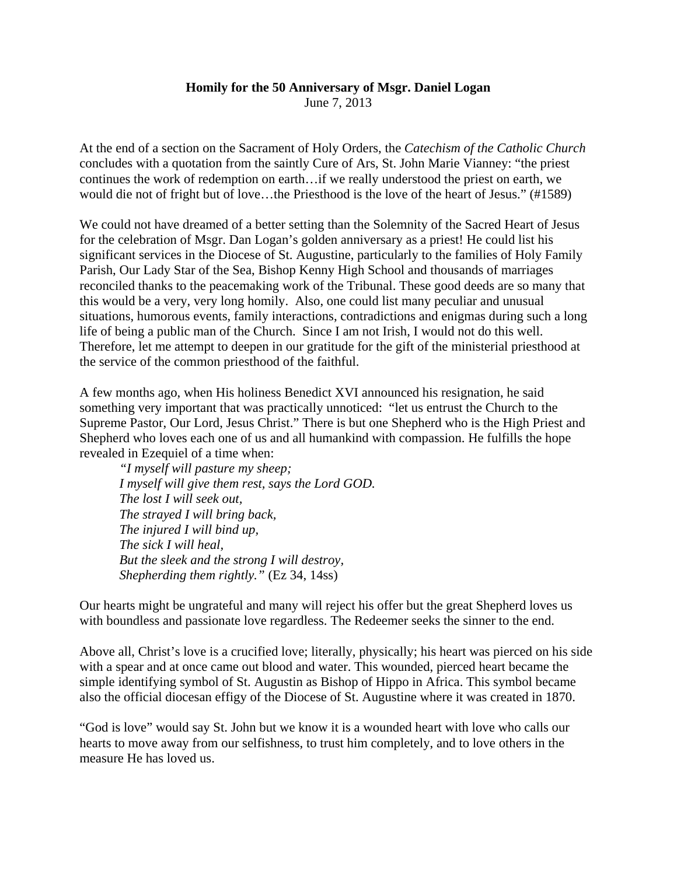## **Homily for the 50 Anniversary of Msgr. Daniel Logan**

June 7, 2013

At the end of a section on the Sacrament of Holy Orders, the *Catechism of the Catholic Church* concludes with a quotation from the saintly Cure of Ars, St. John Marie Vianney: "the priest continues the work of redemption on earth…if we really understood the priest on earth, we would die not of fright but of love…the Priesthood is the love of the heart of Jesus." (#1589)

We could not have dreamed of a better setting than the Solemnity of the Sacred Heart of Jesus for the celebration of Msgr. Dan Logan's golden anniversary as a priest! He could list his significant services in the Diocese of St. Augustine, particularly to the families of Holy Family Parish, Our Lady Star of the Sea, Bishop Kenny High School and thousands of marriages reconciled thanks to the peacemaking work of the Tribunal. These good deeds are so many that this would be a very, very long homily. Also, one could list many peculiar and unusual situations, humorous events, family interactions, contradictions and enigmas during such a long life of being a public man of the Church. Since I am not Irish, I would not do this well. Therefore, let me attempt to deepen in our gratitude for the gift of the ministerial priesthood at the service of the common priesthood of the faithful.

A few months ago, when His holiness Benedict XVI announced his resignation, he said something very important that was practically unnoticed: "let us entrust the Church to the Supreme Pastor, Our Lord, Jesus Christ." There is but one Shepherd who is the High Priest and Shepherd who loves each one of us and all humankind with compassion. He fulfills the hope revealed in Ezequiel of a time when:

*"I myself will pasture my sheep; I myself will give them rest, says the Lord GOD. The lost I will seek out, The strayed I will bring back, The injured I will bind up, The sick I will heal, But the sleek and the strong I will destroy, Shepherding them rightly."* (Ez 34, 14ss)

Our hearts might be ungrateful and many will reject his offer but the great Shepherd loves us with boundless and passionate love regardless. The Redeemer seeks the sinner to the end.

Above all, Christ's love is a crucified love; literally, physically; his heart was pierced on his side with a spear and at once came out blood and water. This wounded, pierced heart became the simple identifying symbol of St. Augustin as Bishop of Hippo in Africa. This symbol became also the official diocesan effigy of the Diocese of St. Augustine where it was created in 1870.

"God is love" would say St. John but we know it is a wounded heart with love who calls our hearts to move away from our selfishness, to trust him completely, and to love others in the measure He has loved us.